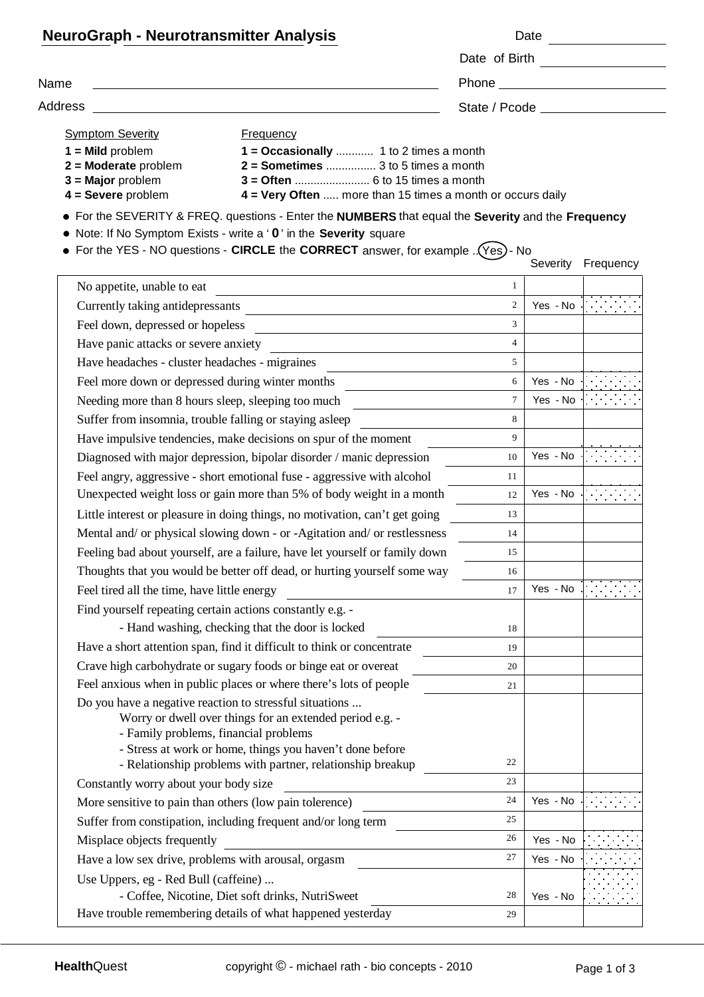| <b>NeuroGraph - Neurotransmitter Analysis</b>                                               |                                                                                                                                                              |                |                                                                                                                                                                                                                                | Date <u>_______</u> |  |
|---------------------------------------------------------------------------------------------|--------------------------------------------------------------------------------------------------------------------------------------------------------------|----------------|--------------------------------------------------------------------------------------------------------------------------------------------------------------------------------------------------------------------------------|---------------------|--|
|                                                                                             |                                                                                                                                                              |                |                                                                                                                                                                                                                                |                     |  |
| Name<br><b>Address</b>                                                                      |                                                                                                                                                              |                | State / Pcode and the state of the state of the state of the state of the state of the state of the state of the state of the state of the state of the state of the state of the state of the state of the state of the state |                     |  |
|                                                                                             |                                                                                                                                                              |                |                                                                                                                                                                                                                                |                     |  |
| $1 =$ Mild problem<br>$2 =$ Moderate problem<br>$3 =$ Major problem<br>$4 =$ Severe problem | 1 = Occasionally  1 to 2 times a month<br>$2 =$ Sometimes  3 to 5 times a month<br>4 = Very Often  more than 15 times a month or occurs daily                |                |                                                                                                                                                                                                                                |                     |  |
|                                                                                             | • For the SEVERITY & FREQ. questions - Enter the NUMBERS that equal the Severity and the Frequency                                                           |                |                                                                                                                                                                                                                                |                     |  |
|                                                                                             | Note: If No Symptom Exists - write a ' 0' in the Severity square                                                                                             |                |                                                                                                                                                                                                                                |                     |  |
|                                                                                             | For the YES - NO questions - CIRCLE the CORRECT answer, for example . (Yes) - No                                                                             |                |                                                                                                                                                                                                                                |                     |  |
|                                                                                             |                                                                                                                                                              |                |                                                                                                                                                                                                                                | Severity Frequency  |  |
| No appetite, unable to eat                                                                  |                                                                                                                                                              | $\mathbf{1}$   |                                                                                                                                                                                                                                |                     |  |
|                                                                                             |                                                                                                                                                              | $\overline{2}$ | Yes - No                                                                                                                                                                                                                       |                     |  |
|                                                                                             |                                                                                                                                                              | $\overline{3}$ |                                                                                                                                                                                                                                |                     |  |
| Have panic attacks or severe anxiety                                                        |                                                                                                                                                              | $\overline{4}$ |                                                                                                                                                                                                                                |                     |  |
| Have headaches - cluster headaches - migraines                                              |                                                                                                                                                              | $\mathfrak{F}$ |                                                                                                                                                                                                                                |                     |  |
|                                                                                             | Feel more down or depressed during winter months                                                                                                             | 6              | Yes - No                                                                                                                                                                                                                       |                     |  |
|                                                                                             | Needing more than 8 hours sleep, sleeping too much                                                                                                           | $\overline{7}$ | Yes - No                                                                                                                                                                                                                       |                     |  |
|                                                                                             | Suffer from insomnia, trouble falling or staying asleep                                                                                                      | $\mathbf{8}$   |                                                                                                                                                                                                                                |                     |  |
|                                                                                             | Have impulsive tendencies, make decisions on spur of the moment                                                                                              | 9              |                                                                                                                                                                                                                                |                     |  |
|                                                                                             | Diagnosed with major depression, bipolar disorder / manic depression                                                                                         | 10             | Yes - No                                                                                                                                                                                                                       |                     |  |
|                                                                                             | Feel angry, aggressive - short emotional fuse - aggressive with alcohol                                                                                      | 11             |                                                                                                                                                                                                                                |                     |  |
|                                                                                             | Unexpected weight loss or gain more than 5% of body weight in a month                                                                                        | 12             | Yes - No                                                                                                                                                                                                                       |                     |  |
|                                                                                             | Little interest or pleasure in doing things, no motivation, can't get going                                                                                  | 13             |                                                                                                                                                                                                                                |                     |  |
|                                                                                             | Mental and/ or physical slowing down - or -Agitation and/ or restlessness                                                                                    | 14             |                                                                                                                                                                                                                                |                     |  |
|                                                                                             | Feeling bad about yourself, are a failure, have let yourself or family down                                                                                  | 15             |                                                                                                                                                                                                                                |                     |  |
|                                                                                             | Thoughts that you would be better off dead, or hurting yourself some way                                                                                     | 16             |                                                                                                                                                                                                                                |                     |  |
| Feel tired all the time, have little energy                                                 |                                                                                                                                                              | 17             | Yes - No                                                                                                                                                                                                                       |                     |  |
|                                                                                             | Find yourself repeating certain actions constantly e.g. -                                                                                                    |                |                                                                                                                                                                                                                                |                     |  |
|                                                                                             | - Hand washing, checking that the door is locked                                                                                                             | 18             |                                                                                                                                                                                                                                |                     |  |
|                                                                                             | Have a short attention span, find it difficult to think or concentrate                                                                                       | 19             |                                                                                                                                                                                                                                |                     |  |
|                                                                                             | Crave high carbohydrate or sugary foods or binge eat or overeat                                                                                              | 20             |                                                                                                                                                                                                                                |                     |  |
|                                                                                             | Feel anxious when in public places or where there's lots of people                                                                                           | 21             |                                                                                                                                                                                                                                |                     |  |
|                                                                                             | Do you have a negative reaction to stressful situations<br>Worry or dwell over things for an extended period e.g. -<br>- Family problems, financial problems |                |                                                                                                                                                                                                                                |                     |  |
|                                                                                             | - Stress at work or home, things you haven't done before<br>- Relationship problems with partner, relationship breakup                                       | 22             |                                                                                                                                                                                                                                |                     |  |
| Constantly worry about your body size                                                       |                                                                                                                                                              | 23             |                                                                                                                                                                                                                                |                     |  |
|                                                                                             | More sensitive to pain than others (low pain tolerence)                                                                                                      | 24             | Yes - No                                                                                                                                                                                                                       |                     |  |
|                                                                                             | Suffer from constipation, including frequent and/or long term                                                                                                | 25             |                                                                                                                                                                                                                                |                     |  |
| Misplace objects frequently                                                                 |                                                                                                                                                              | 26             | Yes - No                                                                                                                                                                                                                       |                     |  |
| Have a low sex drive, problems with arousal, orgasm                                         |                                                                                                                                                              | 27             | Yes - No                                                                                                                                                                                                                       |                     |  |
| Use Uppers, eg - Red Bull (caffeine)                                                        |                                                                                                                                                              |                |                                                                                                                                                                                                                                |                     |  |
|                                                                                             | - Coffee, Nicotine, Diet soft drinks, NutriSweet                                                                                                             | 28             | Yes - No                                                                                                                                                                                                                       |                     |  |
|                                                                                             | Have trouble remembering details of what happened yesterday                                                                                                  | 29             |                                                                                                                                                                                                                                |                     |  |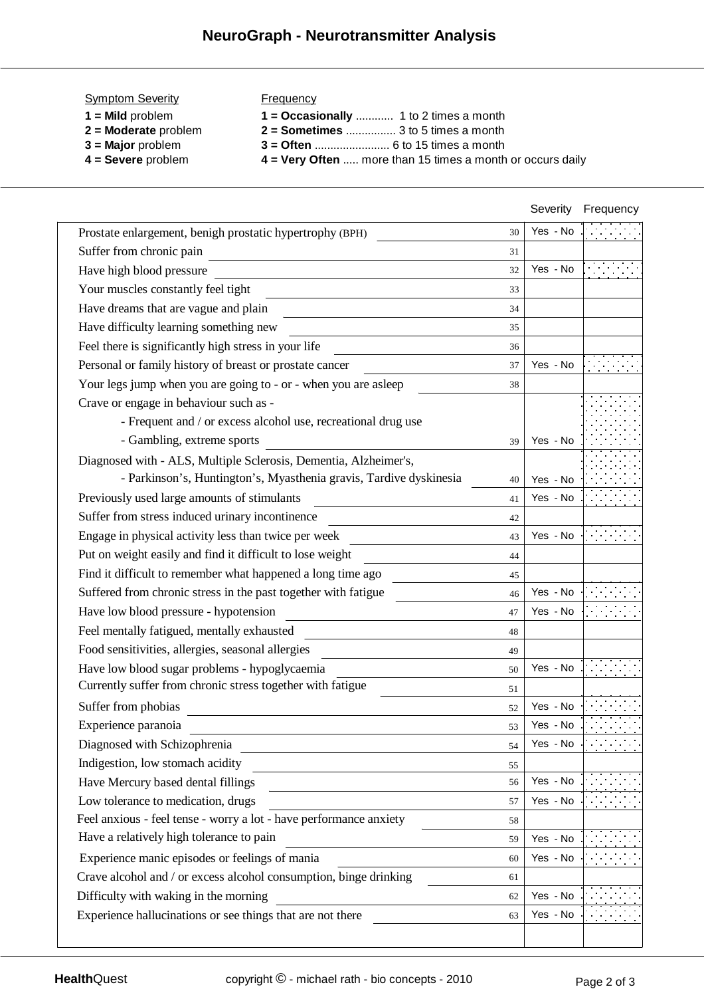| <b>Symptom Severity</b> | Frequency                                                    |
|-------------------------|--------------------------------------------------------------|
| $1 =$ Mild problem      |                                                              |
| $2 =$ Moderate problem  | $2 =$ Sometimes  3 to 5 times a month                        |
| $3$ = Major problem     |                                                              |
| $4 =$ Severe problem    | $4$ = Very Often  more than 15 times a month or occurs daily |

|                                                                                                                                                          | Severity | Frequency |
|----------------------------------------------------------------------------------------------------------------------------------------------------------|----------|-----------|
| Prostate enlargement, benigh prostatic hypertrophy (BPH)<br>30                                                                                           | Yes - No |           |
| Suffer from chronic pain<br>31<br><u> 1989 - Johann Stoff, deutscher Stoffen und der Stoffen und der Stoffen und der Stoffen und der Stoffen und der</u> |          |           |
| Have high blood pressure<br>32                                                                                                                           | Yes - No |           |
| Your muscles constantly feel tight<br>33                                                                                                                 |          |           |
| Have dreams that are vague and plain<br>34                                                                                                               |          |           |
| Have difficulty learning something new<br>35                                                                                                             |          |           |
| Feel there is significantly high stress in your life<br>36                                                                                               |          |           |
| Personal or family history of breast or prostate cancer<br>37                                                                                            | Yes - No |           |
| Your legs jump when you are going to - or - when you are asleep<br>38                                                                                    |          |           |
| Crave or engage in behaviour such as -                                                                                                                   |          |           |
| - Frequent and / or excess alcohol use, recreational drug use                                                                                            |          |           |
| - Gambling, extreme sports<br>39                                                                                                                         | Yes - No |           |
| Diagnosed with - ALS, Multiple Sclerosis, Dementia, Alzheimer's,                                                                                         |          |           |
| - Parkinson's, Huntington's, Myasthenia gravis, Tardive dyskinesia<br>40                                                                                 | Yes - No |           |
| Previously used large amounts of stimulants<br>41                                                                                                        | Yes - No |           |
| Suffer from stress induced urinary incontinence<br>42                                                                                                    |          |           |
| Engage in physical activity less than twice per week<br>43                                                                                               | Yes - No |           |
| Put on weight easily and find it difficult to lose weight<br>44                                                                                          |          |           |
| Find it difficult to remember what happened a long time ago<br>45                                                                                        |          |           |
| Suffered from chronic stress in the past together with fatigue<br>46                                                                                     | Yes - No |           |
| Have low blood pressure - hypotension<br>47                                                                                                              | Yes - No |           |
| Feel mentally fatigued, mentally exhausted<br>48                                                                                                         |          |           |
| Food sensitivities, allergies, seasonal allergies<br>49                                                                                                  |          |           |
| Have low blood sugar problems - hypoglycaemia<br>50                                                                                                      | Yes - No |           |
| Currently suffer from chronic stress together with fatigue<br>51                                                                                         |          |           |
| Suffer from phobias<br>52                                                                                                                                | Yes - No |           |
| Experience paranoia<br>53                                                                                                                                | Yes - No |           |
| Diagnosed with Schizophrenia<br>54                                                                                                                       | Yes - No |           |
| Indigestion, low stomach acidity<br>55                                                                                                                   |          |           |
| Have Mercury based dental fillings<br>56                                                                                                                 | Yes - No |           |
| Low tolerance to medication, drugs<br>57                                                                                                                 | Yes - No |           |
| Feel anxious - feel tense - worry a lot - have performance anxiety<br>58                                                                                 |          |           |
| Have a relatively high tolerance to pain<br>59                                                                                                           | Yes - No |           |
| Experience manic episodes or feelings of mania                                                                                                           |          |           |
| Crave alcohol and / or excess alcohol consumption, binge drinking<br>61                                                                                  |          |           |
| Difficulty with waking in the morning<br>62                                                                                                              | Yes - No |           |
| Experience hallucinations or see things that are not there<br>63                                                                                         | Yes - No |           |
|                                                                                                                                                          |          |           |